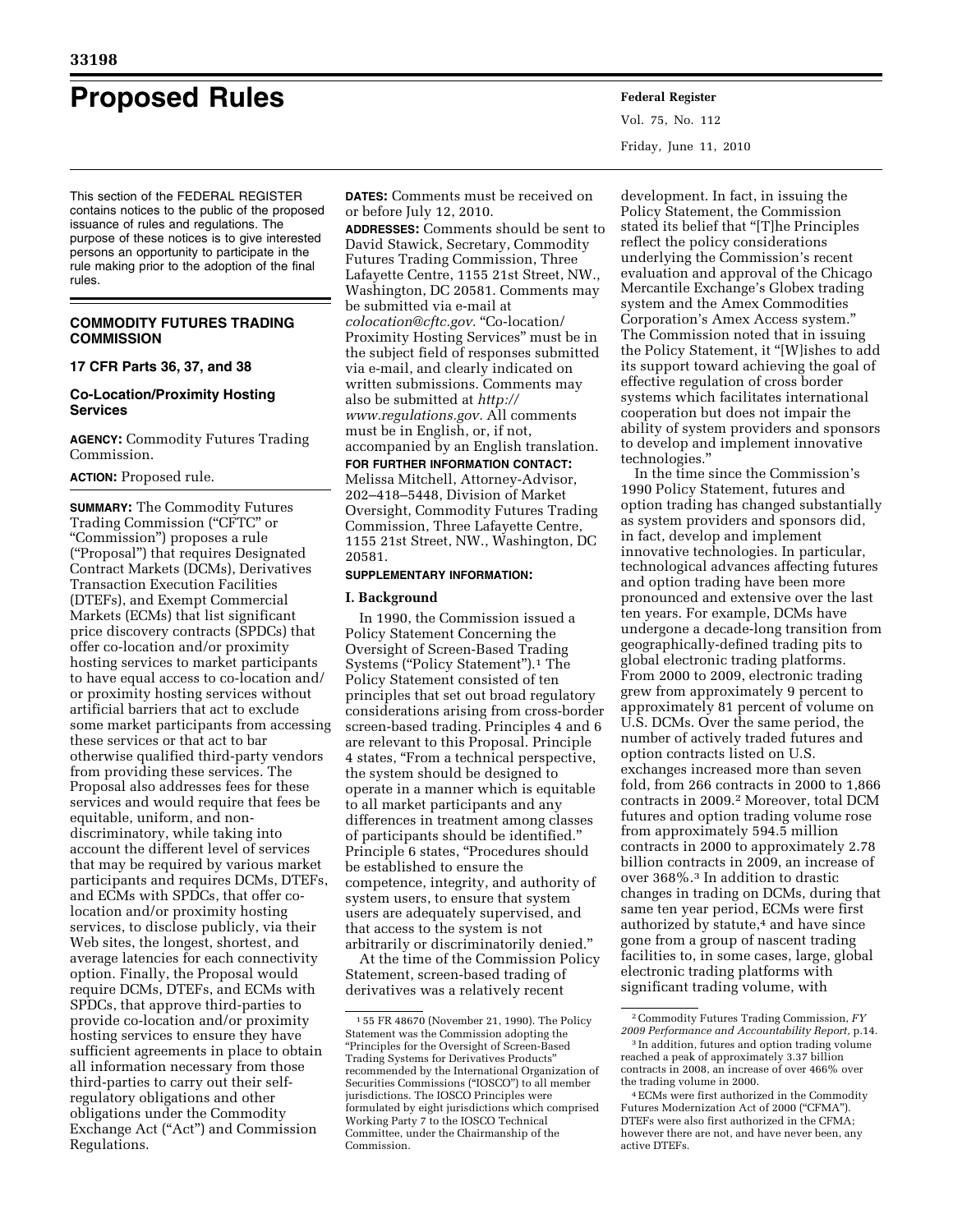# **Proposed Rules Federal Register**

This section of the FEDERAL REGISTER contains notices to the public of the proposed issuance of rules and regulations. The purpose of these notices is to give interested persons an opportunity to participate in the rule making prior to the adoption of the final rules.

## **COMMODITY FUTURES TRADING COMMISSION**

#### **17 CFR Parts 36, 37, and 38**

## **Co-Location/Proximity Hosting Services**

**AGENCY:** Commodity Futures Trading Commission.

## **ACTION:** Proposed rule.

**SUMMARY:** The Commodity Futures Trading Commission (''CFTC'' or ''Commission'') proposes a rule (''Proposal'') that requires Designated Contract Markets (DCMs), Derivatives Transaction Execution Facilities (DTEFs), and Exempt Commercial Markets (ECMs) that list significant price discovery contracts (SPDCs) that offer co-location and/or proximity hosting services to market participants to have equal access to co-location and/ or proximity hosting services without artificial barriers that act to exclude some market participants from accessing these services or that act to bar otherwise qualified third-party vendors from providing these services. The Proposal also addresses fees for these services and would require that fees be equitable, uniform, and nondiscriminatory, while taking into account the different level of services that may be required by various market participants and requires DCMs, DTEFs, and ECMs with SPDCs, that offer colocation and/or proximity hosting services, to disclose publicly, via their Web sites, the longest, shortest, and average latencies for each connectivity option. Finally, the Proposal would require DCMs, DTEFs, and ECMs with SPDCs, that approve third-parties to provide co-location and/or proximity hosting services to ensure they have sufficient agreements in place to obtain all information necessary from those third-parties to carry out their selfregulatory obligations and other obligations under the Commodity Exchange Act ("Act") and Commission Regulations.

**DATES:** Comments must be received on or before July 12, 2010.

**ADDRESSES:** Comments should be sent to David Stawick, Secretary, Commodity Futures Trading Commission, Three Lafayette Centre, 1155 21st Street, NW., Washington, DC 20581. Comments may be submitted via e-mail at *[colocation@cftc.gov.](mailto:colocation@cftc.gov)* ''Co-location/ Proximity Hosting Services'' must be in the subject field of responses submitted via e-mail, and clearly indicated on written submissions. Comments may also be submitted at *[http://](http://www.regulations.gov) [www.regulations.gov.](http://www.regulations.gov)* All comments must be in English, or, if not, accompanied by an English translation.

#### **FOR FURTHER INFORMATION CONTACT:**

Melissa Mitchell, Attorney-Advisor, 202–418–5448, Division of Market Oversight, Commodity Futures Trading Commission, Three Lafayette Centre, 1155 21st Street, NW., Washington, DC 20581.

#### **SUPPLEMENTARY INFORMATION:**

#### **I. Background**

In 1990, the Commission issued a Policy Statement Concerning the Oversight of Screen-Based Trading Systems ("Policy Statement").<sup>1</sup> The Policy Statement consisted of ten principles that set out broad regulatory considerations arising from cross-border screen-based trading. Principles 4 and 6 are relevant to this Proposal. Principle 4 states, ''From a technical perspective, the system should be designed to operate in a manner which is equitable to all market participants and any differences in treatment among classes of participants should be identified.'' Principle 6 states, "Procedures should be established to ensure the competence, integrity, and authority of system users, to ensure that system users are adequately supervised, and that access to the system is not arbitrarily or discriminatorily denied.''

At the time of the Commission Policy Statement, screen-based trading of derivatives was a relatively recent

Vol. 75, No. 112 Friday, June 11, 2010

development. In fact, in issuing the Policy Statement, the Commission stated its belief that ''[T]he Principles reflect the policy considerations underlying the Commission's recent evaluation and approval of the Chicago Mercantile Exchange's Globex trading system and the Amex Commodities Corporation's Amex Access system.'' The Commission noted that in issuing the Policy Statement, it "[W]ishes to add its support toward achieving the goal of effective regulation of cross border systems which facilitates international cooperation but does not impair the ability of system providers and sponsors to develop and implement innovative technologies.''

In the time since the Commission's 1990 Policy Statement, futures and option trading has changed substantially as system providers and sponsors did, in fact, develop and implement innovative technologies. In particular, technological advances affecting futures and option trading have been more pronounced and extensive over the last ten years. For example, DCMs have undergone a decade-long transition from geographically-defined trading pits to global electronic trading platforms. From 2000 to 2009, electronic trading grew from approximately 9 percent to approximately 81 percent of volume on U.S. DCMs. Over the same period, the number of actively traded futures and option contracts listed on U.S. exchanges increased more than seven fold, from 266 contracts in 2000 to 1,866 contracts in 2009.2 Moreover, total DCM futures and option trading volume rose from approximately 594.5 million contracts in 2000 to approximately 2.78 billion contracts in 2009, an increase of over 368%.3 In addition to drastic changes in trading on DCMs, during that same ten year period, ECMs were first authorized by statute,<sup>4</sup> and have since gone from a group of nascent trading facilities to, in some cases, large, global electronic trading platforms with significant trading volume, with

<sup>1</sup> 55 FR 48670 (November 21, 1990). The Policy Statement was the Commission adopting the ''Principles for the Oversight of Screen-Based Trading Systems for Derivatives Products'' recommended by the International Organization of Securities Commissions ("IOSCO") to all member jurisdictions. The IOSCO Principles were formulated by eight jurisdictions which comprised Working Party 7 to the IOSCO Technical Committee, under the Chairmanship of the Commission.

<sup>2</sup>Commodity Futures Trading Commission, *FY 2009 Performance and Accountability Report,* p.14.

<sup>3</sup> In addition, futures and option trading volume reached a peak of approximately 3.37 billion contracts in 2008, an increase of over 466% over the trading volume in 2000.

<sup>4</sup>ECMs were first authorized in the Commodity Futures Modernization Act of 2000 ("CFMA"). DTEFs were also first authorized in the CFMA; however there are not, and have never been, any active DTEFs.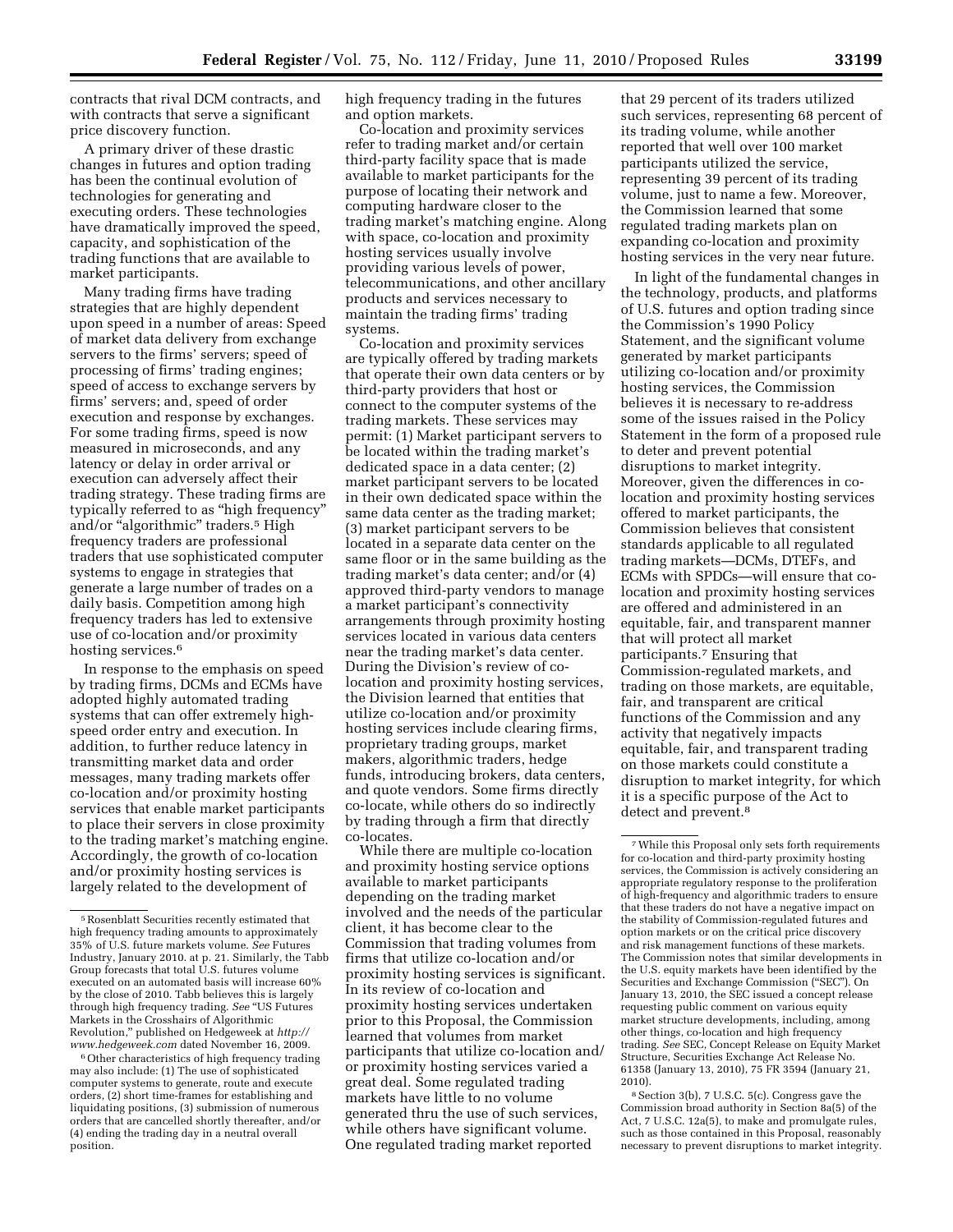contracts that rival DCM contracts, and with contracts that serve a significant price discovery function.

A primary driver of these drastic changes in futures and option trading has been the continual evolution of technologies for generating and executing orders. These technologies have dramatically improved the speed, capacity, and sophistication of the trading functions that are available to market participants.

Many trading firms have trading strategies that are highly dependent upon speed in a number of areas: Speed of market data delivery from exchange servers to the firms' servers; speed of processing of firms' trading engines; speed of access to exchange servers by firms' servers; and, speed of order execution and response by exchanges. For some trading firms, speed is now measured in microseconds, and any latency or delay in order arrival or execution can adversely affect their trading strategy. These trading firms are typically referred to as ''high frequency'' and/or "algorithmic" traders.<sup>5</sup> High frequency traders are professional traders that use sophisticated computer systems to engage in strategies that generate a large number of trades on a daily basis. Competition among high frequency traders has led to extensive use of co-location and/or proximity hosting services.<sup>6</sup>

In response to the emphasis on speed by trading firms, DCMs and ECMs have adopted highly automated trading systems that can offer extremely highspeed order entry and execution. In addition, to further reduce latency in transmitting market data and order messages, many trading markets offer co-location and/or proximity hosting services that enable market participants to place their servers in close proximity to the trading market's matching engine. Accordingly, the growth of co-location and/or proximity hosting services is largely related to the development of

<sup>6</sup> Other characteristics of high frequency trading may also include: (1) The use of sophisticated computer systems to generate, route and execute orders, (2) short time-frames for establishing and liquidating positions, (3) submission of numerous orders that are cancelled shortly thereafter, and/or (4) ending the trading day in a neutral overall position.

high frequency trading in the futures and option markets.

Co-location and proximity services refer to trading market and/or certain third-party facility space that is made available to market participants for the purpose of locating their network and computing hardware closer to the trading market's matching engine. Along with space, co-location and proximity hosting services usually involve providing various levels of power, telecommunications, and other ancillary products and services necessary to maintain the trading firms' trading systems.

Co-location and proximity services are typically offered by trading markets that operate their own data centers or by third-party providers that host or connect to the computer systems of the trading markets. These services may permit: (1) Market participant servers to be located within the trading market's dedicated space in a data center; (2) market participant servers to be located in their own dedicated space within the same data center as the trading market; (3) market participant servers to be located in a separate data center on the same floor or in the same building as the trading market's data center; and/or (4) approved third-party vendors to manage a market participant's connectivity arrangements through proximity hosting services located in various data centers near the trading market's data center. During the Division's review of colocation and proximity hosting services, the Division learned that entities that utilize co-location and/or proximity hosting services include clearing firms, proprietary trading groups, market makers, algorithmic traders, hedge funds, introducing brokers, data centers, and quote vendors. Some firms directly co-locate, while others do so indirectly by trading through a firm that directly co-locates.

While there are multiple co-location and proximity hosting service options available to market participants depending on the trading market involved and the needs of the particular client, it has become clear to the Commission that trading volumes from firms that utilize co-location and/or proximity hosting services is significant. In its review of co-location and proximity hosting services undertaken prior to this Proposal, the Commission learned that volumes from market participants that utilize co-location and/ or proximity hosting services varied a great deal. Some regulated trading markets have little to no volume generated thru the use of such services, while others have significant volume. One regulated trading market reported

that 29 percent of its traders utilized such services, representing 68 percent of its trading volume, while another reported that well over 100 market participants utilized the service, representing 39 percent of its trading volume, just to name a few. Moreover, the Commission learned that some regulated trading markets plan on expanding co-location and proximity hosting services in the very near future.

In light of the fundamental changes in the technology, products, and platforms of U.S. futures and option trading since the Commission's 1990 Policy Statement, and the significant volume generated by market participants utilizing co-location and/or proximity hosting services, the Commission believes it is necessary to re-address some of the issues raised in the Policy Statement in the form of a proposed rule to deter and prevent potential disruptions to market integrity. Moreover, given the differences in colocation and proximity hosting services offered to market participants, the Commission believes that consistent standards applicable to all regulated trading markets—DCMs, DTEFs, and ECMs with SPDCs—will ensure that colocation and proximity hosting services are offered and administered in an equitable, fair, and transparent manner that will protect all market participants.7 Ensuring that Commission-regulated markets, and trading on those markets, are equitable, fair, and transparent are critical functions of the Commission and any activity that negatively impacts equitable, fair, and transparent trading on those markets could constitute a disruption to market integrity, for which it is a specific purpose of the Act to detect and prevent.<sup>8</sup>

<sup>5</sup>Rosenblatt Securities recently estimated that high frequency trading amounts to approximately 35% of U.S. future markets volume. *See* Futures Industry, January 2010. at p. 21. Similarly, the Tabb Group forecasts that total U.S. futures volume executed on an automated basis will increase 60% by the close of 2010. Tabb believes this is largely through high frequency trading. *See* ''US Futures Markets in the Crosshairs of Algorithmic Revolution,'' published on Hedgeweek at *[http://](http://www.hedgeweek.com)  [www.hedgeweek.com](http://www.hedgeweek.com)* dated November 16, 2009.

<sup>7</sup>While this Proposal only sets forth requirements for co-location and third-party proximity hosting services, the Commission is actively considering an appropriate regulatory response to the proliferation of high-frequency and algorithmic traders to ensure that these traders do not have a negative impact on the stability of Commission-regulated futures and option markets or on the critical price discovery and risk management functions of these markets. The Commission notes that similar developments in the U.S. equity markets have been identified by the Securities and Exchange Commission (''SEC''). On January 13, 2010, the SEC issued a concept release requesting public comment on various equity market structure developments, including, among other things, co-location and high frequency trading. *See* SEC, Concept Release on Equity Market Structure, Securities Exchange Act Release No. 61358 (January 13, 2010), 75 FR 3594 (January 21, 2010).

<sup>8</sup>Section 3(b), 7 U.S.C. 5(c). Congress gave the Commission broad authority in Section 8a(5) of the Act, 7 U.S.C. 12a(5), to make and promulgate rules, such as those contained in this Proposal, reasonably necessary to prevent disruptions to market integrity.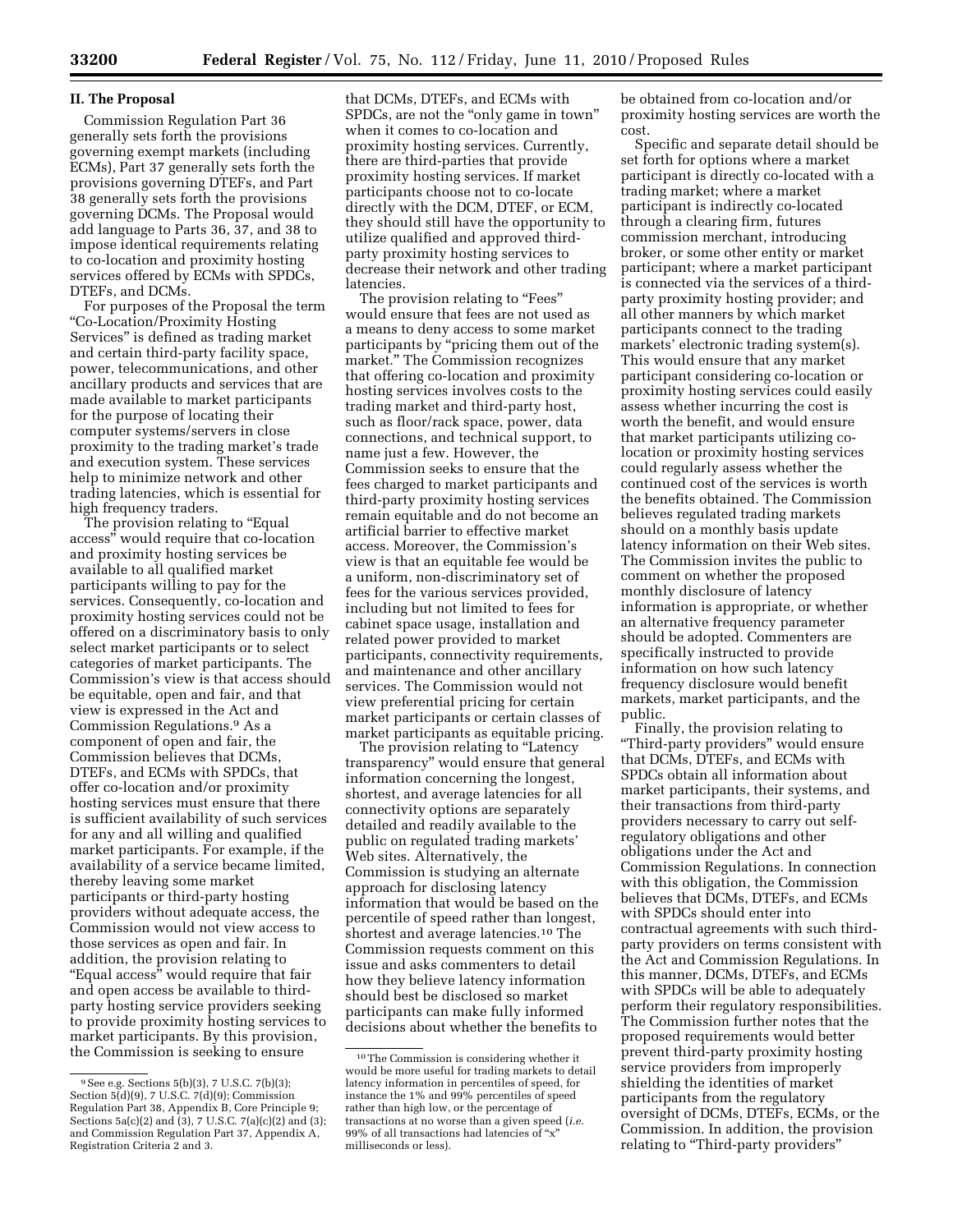#### **II. The Proposal**

Commission Regulation Part 36 generally sets forth the provisions governing exempt markets (including ECMs), Part 37 generally sets forth the provisions governing DTEFs, and Part 38 generally sets forth the provisions governing DCMs. The Proposal would add language to Parts 36, 37, and 38 to impose identical requirements relating to co-location and proximity hosting services offered by ECMs with SPDCs, DTEFs, and DCMs.

For purposes of the Proposal the term ''Co-Location/Proximity Hosting Services'' is defined as trading market and certain third-party facility space, power, telecommunications, and other ancillary products and services that are made available to market participants for the purpose of locating their computer systems/servers in close proximity to the trading market's trade and execution system. These services help to minimize network and other trading latencies, which is essential for high frequency traders.

The provision relating to ''Equal access'' would require that co-location and proximity hosting services be available to all qualified market participants willing to pay for the services. Consequently, co-location and proximity hosting services could not be offered on a discriminatory basis to only select market participants or to select categories of market participants. The Commission's view is that access should be equitable, open and fair, and that view is expressed in the Act and Commission Regulations.9 As a component of open and fair, the Commission believes that DCMs, DTEFs, and ECMs with SPDCs, that offer co-location and/or proximity hosting services must ensure that there is sufficient availability of such services for any and all willing and qualified market participants. For example, if the availability of a service became limited, thereby leaving some market participants or third-party hosting providers without adequate access, the Commission would not view access to those services as open and fair. In addition, the provision relating to "Equal access" would require that fair and open access be available to thirdparty hosting service providers seeking to provide proximity hosting services to market participants. By this provision, the Commission is seeking to ensure

that DCMs, DTEFs, and ECMs with SPDCs, are not the "only game in town" when it comes to co-location and proximity hosting services. Currently, there are third-parties that provide proximity hosting services. If market participants choose not to co-locate directly with the DCM, DTEF, or ECM, they should still have the opportunity to utilize qualified and approved thirdparty proximity hosting services to decrease their network and other trading latencies.

The provision relating to "Fees" would ensure that fees are not used as a means to deny access to some market participants by ''pricing them out of the market.'' The Commission recognizes that offering co-location and proximity hosting services involves costs to the trading market and third-party host, such as floor/rack space, power, data connections, and technical support, to name just a few. However, the Commission seeks to ensure that the fees charged to market participants and third-party proximity hosting services remain equitable and do not become an artificial barrier to effective market access. Moreover, the Commission's view is that an equitable fee would be a uniform, non-discriminatory set of fees for the various services provided, including but not limited to fees for cabinet space usage, installation and related power provided to market participants, connectivity requirements, and maintenance and other ancillary services. The Commission would not view preferential pricing for certain market participants or certain classes of market participants as equitable pricing.

The provision relating to "Latency transparency'' would ensure that general information concerning the longest, shortest, and average latencies for all connectivity options are separately detailed and readily available to the public on regulated trading markets' Web sites. Alternatively, the Commission is studying an alternate approach for disclosing latency information that would be based on the percentile of speed rather than longest, shortest and average latencies.10 The Commission requests comment on this issue and asks commenters to detail how they believe latency information should best be disclosed so market participants can make fully informed decisions about whether the benefits to

be obtained from co-location and/or proximity hosting services are worth the cost.

Specific and separate detail should be set forth for options where a market participant is directly co-located with a trading market; where a market participant is indirectly co-located through a clearing firm, futures commission merchant, introducing broker, or some other entity or market participant; where a market participant is connected via the services of a thirdparty proximity hosting provider; and all other manners by which market participants connect to the trading markets' electronic trading system(s). This would ensure that any market participant considering co-location or proximity hosting services could easily assess whether incurring the cost is worth the benefit, and would ensure that market participants utilizing colocation or proximity hosting services could regularly assess whether the continued cost of the services is worth the benefits obtained. The Commission believes regulated trading markets should on a monthly basis update latency information on their Web sites. The Commission invites the public to comment on whether the proposed monthly disclosure of latency information is appropriate, or whether an alternative frequency parameter should be adopted. Commenters are specifically instructed to provide information on how such latency frequency disclosure would benefit markets, market participants, and the public.

Finally, the provision relating to ''Third-party providers'' would ensure that DCMs, DTEFs, and ECMs with SPDCs obtain all information about market participants, their systems, and their transactions from third-party providers necessary to carry out selfregulatory obligations and other obligations under the Act and Commission Regulations. In connection with this obligation, the Commission believes that DCMs, DTEFs, and ECMs with SPDCs should enter into contractual agreements with such thirdparty providers on terms consistent with the Act and Commission Regulations. In this manner, DCMs, DTEFs, and ECMs with SPDCs will be able to adequately perform their regulatory responsibilities. The Commission further notes that the proposed requirements would better prevent third-party proximity hosting service providers from improperly shielding the identities of market participants from the regulatory oversight of DCMs, DTEFs, ECMs, or the Commission. In addition, the provision relating to "Third-party providers"

<sup>9</sup>See e.g. Sections 5(b)(3), 7 U.S.C. 7(b)(3); Section 5(d)(9), 7 U.S.C. 7(d)(9); Commission Regulation Part 38, Appendix B, Core Principle 9; Sections  $5a(c)(2)$  and  $(3)$ , 7 U.S.C.  $7(a)(c)(2)$  and  $(3)$ ; and Commission Regulation Part 37, Appendix A, Registration Criteria 2 and 3.

<sup>10</sup>The Commission is considering whether it would be more useful for trading markets to detail latency information in percentiles of speed, for instance the 1% and 99% percentiles of speed rather than high low, or the percentage of transactions at no worse than a given speed (*i.e.*  99% of all transactions had latencies of ''x'' milliseconds or less).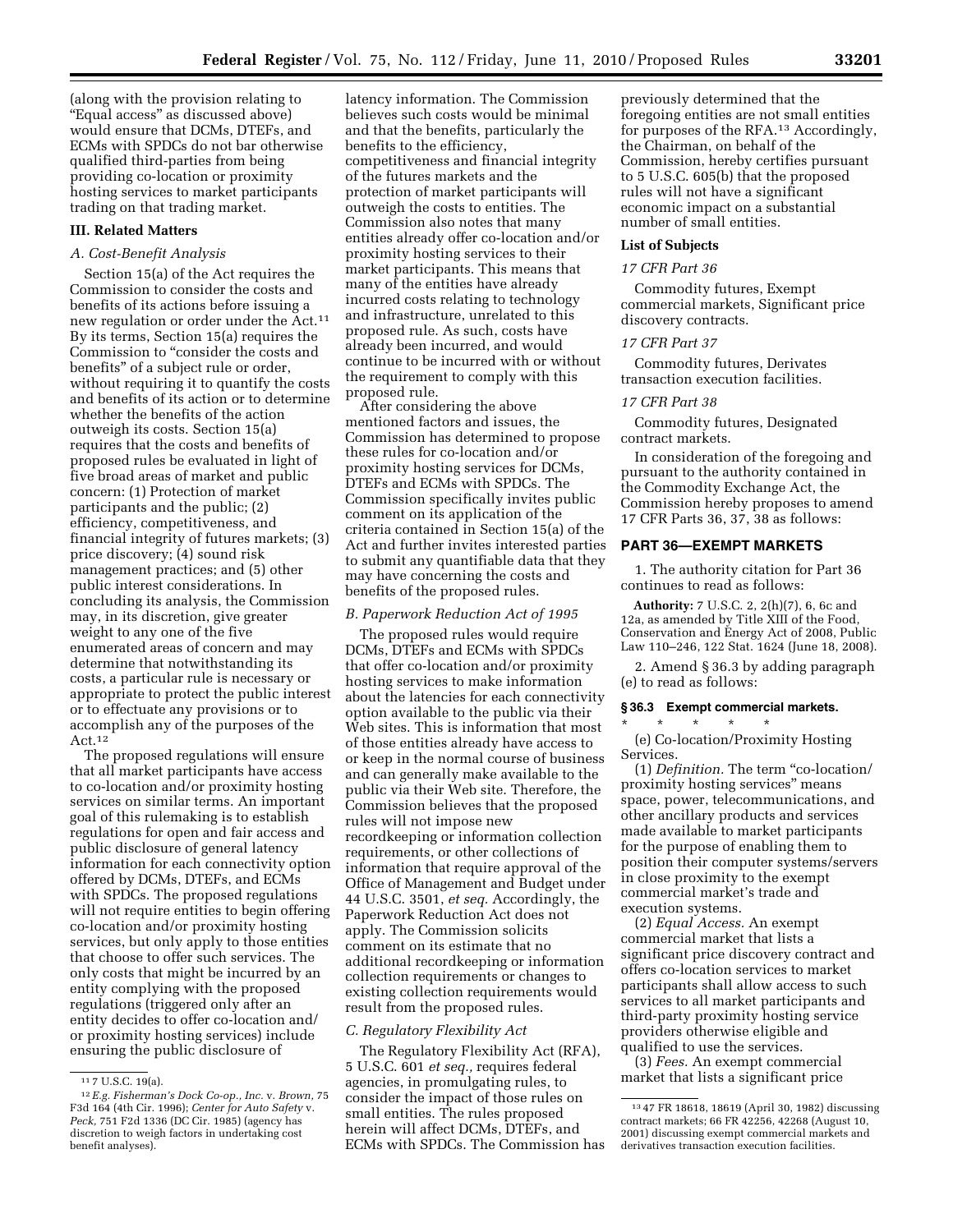(along with the provision relating to ''Equal access'' as discussed above) would ensure that DCMs, DTEFs, and ECMs with SPDCs do not bar otherwise qualified third-parties from being providing co-location or proximity hosting services to market participants trading on that trading market.

## **III. Related Matters**

## *A. Cost-Benefit Analysis*

Section 15(a) of the Act requires the Commission to consider the costs and benefits of its actions before issuing a new regulation or order under the Act.11 By its terms, Section 15(a) requires the Commission to ''consider the costs and benefits'' of a subject rule or order, without requiring it to quantify the costs and benefits of its action or to determine whether the benefits of the action outweigh its costs. Section 15(a) requires that the costs and benefits of proposed rules be evaluated in light of five broad areas of market and public concern: (1) Protection of market participants and the public; (2) efficiency, competitiveness, and financial integrity of futures markets; (3) price discovery; (4) sound risk management practices; and (5) other public interest considerations. In concluding its analysis, the Commission may, in its discretion, give greater weight to any one of the five enumerated areas of concern and may determine that notwithstanding its costs, a particular rule is necessary or appropriate to protect the public interest or to effectuate any provisions or to accomplish any of the purposes of the  $Act.<sup>12</sup>$ 

The proposed regulations will ensure that all market participants have access to co-location and/or proximity hosting services on similar terms. An important goal of this rulemaking is to establish regulations for open and fair access and public disclosure of general latency information for each connectivity option offered by DCMs, DTEFs, and ECMs with SPDCs. The proposed regulations will not require entities to begin offering co-location and/or proximity hosting services, but only apply to those entities that choose to offer such services. The only costs that might be incurred by an entity complying with the proposed regulations (triggered only after an entity decides to offer co-location and/ or proximity hosting services) include ensuring the public disclosure of

latency information. The Commission believes such costs would be minimal and that the benefits, particularly the benefits to the efficiency, competitiveness and financial integrity of the futures markets and the protection of market participants will outweigh the costs to entities. The Commission also notes that many entities already offer co-location and/or proximity hosting services to their market participants. This means that many of the entities have already incurred costs relating to technology and infrastructure, unrelated to this proposed rule. As such, costs have already been incurred, and would continue to be incurred with or without the requirement to comply with this proposed rule.

After considering the above mentioned factors and issues, the Commission has determined to propose these rules for co-location and/or proximity hosting services for DCMs, DTEFs and ECMs with SPDCs. The Commission specifically invites public comment on its application of the criteria contained in Section 15(a) of the Act and further invites interested parties to submit any quantifiable data that they may have concerning the costs and benefits of the proposed rules.

### *B. Paperwork Reduction Act of 1995*

The proposed rules would require DCMs, DTEFs and ECMs with SPDCs that offer co-location and/or proximity hosting services to make information about the latencies for each connectivity option available to the public via their Web sites. This is information that most of those entities already have access to or keep in the normal course of business and can generally make available to the public via their Web site. Therefore, the Commission believes that the proposed rules will not impose new recordkeeping or information collection requirements, or other collections of information that require approval of the Office of Management and Budget under 44 U.S.C. 3501, *et seq.* Accordingly, the Paperwork Reduction Act does not apply. The Commission solicits comment on its estimate that no additional recordkeeping or information collection requirements or changes to existing collection requirements would result from the proposed rules.

#### *C. Regulatory Flexibility Act*

The Regulatory Flexibility Act (RFA), 5 U.S.C. 601 *et seq.,* requires federal agencies, in promulgating rules, to consider the impact of those rules on small entities. The rules proposed herein will affect DCMs, DTEFs, and ECMs with SPDCs. The Commission has

previously determined that the foregoing entities are not small entities for purposes of the RFA.13 Accordingly, the Chairman, on behalf of the Commission, hereby certifies pursuant to 5 U.S.C. 605(b) that the proposed rules will not have a significant economic impact on a substantial number of small entities.

## **List of Subjects**

#### *17 CFR Part 36*

Commodity futures, Exempt commercial markets, Significant price discovery contracts.

#### *17 CFR Part 37*

Commodity futures, Derivates transaction execution facilities.

#### *17 CFR Part 38*

Commodity futures, Designated contract markets.

In consideration of the foregoing and pursuant to the authority contained in the Commodity Exchange Act, the Commission hereby proposes to amend 17 CFR Parts 36, 37, 38 as follows:

## **PART 36—EXEMPT MARKETS**

1. The authority citation for Part 36 continues to read as follows:

**Authority:** 7 U.S.C. 2, 2(h)(7), 6, 6c and 12a, as amended by Title XIII of the Food, Conservation and Energy Act of 2008, Public Law 110–246, 122 Stat. 1624 (June 18, 2008).

2. Amend § 36.3 by adding paragraph (e) to read as follows:

#### **§ 36.3 Exempt commercial markets.**

\* \* \* \* \* (e) Co-location/Proximity Hosting Services.

(1) *Definition.* The term ''co-location/ proximity hosting services'' means space, power, telecommunications, and other ancillary products and services made available to market participants for the purpose of enabling them to position their computer systems/servers in close proximity to the exempt commercial market's trade and execution systems.

(2) *Equal Access.* An exempt commercial market that lists a significant price discovery contract and offers co-location services to market participants shall allow access to such services to all market participants and third-party proximity hosting service providers otherwise eligible and qualified to use the services.

(3) *Fees.* An exempt commercial market that lists a significant price

<sup>11</sup> 7 U.S.C. 19(a).

<sup>12</sup>*E.g. Fisherman's Dock Co-op., Inc.* v. *Brown,* 75 F3d 164 (4th Cir. 1996); *Center for Auto Safety* v. *Peck,* 751 F2d 1336 (DC Cir. 1985) (agency has discretion to weigh factors in undertaking cost benefit analyses).

<sup>13</sup> 47 FR 18618, 18619 (April 30, 1982) discussing contract markets; 66 FR 42256, 42268 (August 10, 2001) discussing exempt commercial markets and derivatives transaction execution facilities.